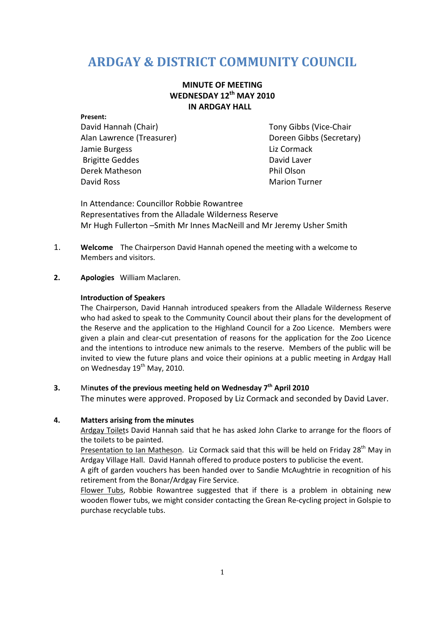# **ARDGAY & DISTRICT COMMUNITY COUNCIL**

## **MINUTE OF MEETING WEDNESDAY 12th MAY 2010 IN ARDGAY HALL**

# **Present:**

Alan Lawrence (Treasurer) Doreen Gibbs (Secretary) Jamie Burgess **Liz Cormack** Brigitte Geddes David Laver Derek Matheson **Phil Olson** David Ross Nation Turner (Nation Turner (Nation Turner (Nation Turner (Nation Turner (Nation Turner (Nation Turner (Nation Turner (Nation Turner (Nation Turner (Nation Turner (Nation Turner (Nation Turner (Nation Turner (N

David Hannah (Chair) Tony Gibbs (Vice-Chair

In Attendance: Councillor Robbie Rowantree Representatives from the Alladale Wilderness Reserve Mr Hugh Fullerton –Smith Mr Innes MacNeill and Mr Jeremy Usher Smith

- 1. **Welcome** The Chairperson David Hannah opened the meeting with a welcome to Members and visitors.
- **2. Apologies** William Maclaren.

#### **Introduction of Speakers**

The Chairperson, David Hannah introduced speakers from the Alladale Wilderness Reserve who had asked to speak to the Community Council about their plans for the development of the Reserve and the application to the Highland Council for a Zoo Licence. Members were given a plain and clear-cut presentation of reasons for the application for the Zoo Licence and the intentions to introduce new animals to the reserve. Members of the public will be invited to view the future plans and voice their opinions at a public meeting in Ardgay Hall on Wednesday  $19<sup>th</sup>$  May, 2010.

# **3.** Mi**nutes of the previous meeting held on Wednesday 7th April 2010**

The minutes were approved. Proposed by Liz Cormack and seconded by David Laver.

### **4. Matters arising from the minutes**

Ardgay Toilets David Hannah said that he has asked John Clarke to arrange for the floors of the toilets to be painted.

Presentation to Ian Matheson. Liz Cormack said that this will be held on Friday 28<sup>th</sup> May in Ardgay Village Hall. David Hannah offered to produce posters to publicise the event.

A gift of garden vouchers has been handed over to Sandie McAughtrie in recognition of his retirement from the Bonar/Ardgay Fire Service.

Flower Tubs, Robbie Rowantree suggested that if there is a problem in obtaining new wooden flower tubs, we might consider contacting the Grean Re-cycling project in Golspie to purchase recyclable tubs.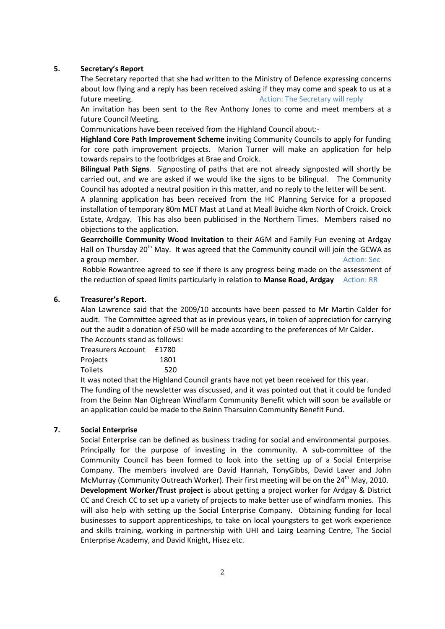#### **5. Secretary's Report**

The Secretary reported that she had written to the Ministry of Defence expressing concerns about low flying and a reply has been received asking if they may come and speak to us at a future meeting. The Secretary will reply a secretary will reply

An invitation has been sent to the Rev Anthony Jones to come and meet members at a future Council Meeting.

Communications have been received from the Highland Council about:-

**Highland Core Path Improvement Scheme** inviting Community Councils to apply for funding for core path improvement projects. Marion Turner will make an application for help towards repairs to the footbridges at Brae and Croick.

**Bilingual Path Signs**. Signposting of paths that are not already signposted will shortly be carried out, and we are asked if we would like the signs to be bilingual. The Community Council has adopted a neutral position in this matter, and no reply to the letter will be sent.

A planning application has been received from the HC Planning Service for a proposed installation of temporary 80m MET Mast at Land at Meall Buidhe 4km North of Croick. Croick Estate, Ardgay. This has also been publicised in the Northern Times. Members raised no objections to the application.

**Gearrchoille Community Wood Invitation** to their AGM and Family Fun evening at Ardgay Hall on Thursday  $20<sup>th</sup>$  May. It was agreed that the Community council will join the GCWA as **a group member.** Action: Security and Security and Security and Security and Security and Security and Security and Security and Security and Security and Security and Security and Security and Security and Security and S

 Robbie Rowantree agreed to see if there is any progress being made on the assessment of the reduction of speed limits particularly in relation to **Manse Road, Ardgay** Action: RR

#### **6. Treasurer's Report.**

Alan Lawrence said that the 2009/10 accounts have been passed to Mr Martin Calder for audit. The Committee agreed that as in previous years, in token of appreciation for carrying out the audit a donation of £50 will be made according to the preferences of Mr Calder. The Accounts stand as follows:

| THE ACCOUNTS Stand as TONOWS |      |
|------------------------------|------|
| Treasurers Account £1780     |      |
| Projects                     | 1801 |
| Toilets                      | 520  |
|                              |      |

It was noted that the Highland Council grants have not yet been received for this year. The funding of the newsletter was discussed, and it was pointed out that it could be funded from the Beinn Nan Oighrean Windfarm Community Benefit which will soon be available or an application could be made to the Beinn Tharsuinn Community Benefit Fund.

#### **7. Social Enterprise**

Social Enterprise can be defined as business trading for social and environmental purposes. Principally for the purpose of investing in the community. A sub-committee of the Community Council has been formed to look into the setting up of a Social Enterprise Company. The members involved are David Hannah, TonyGibbs, David Laver and John McMurray (Community Outreach Worker). Their first meeting will be on the 24<sup>th</sup> May, 2010. **Development Worker/Trust project** is about getting a project worker for Ardgay & District CC and Creich CC to set up a variety of projects to make better use of windfarm monies. This will also help with setting up the Social Enterprise Company. Obtaining funding for local businesses to support apprenticeships, to take on local youngsters to get work experience and skills training, working in partnership with UHI and Lairg Learning Centre, The Social Enterprise Academy, and David Knight, Hisez etc.